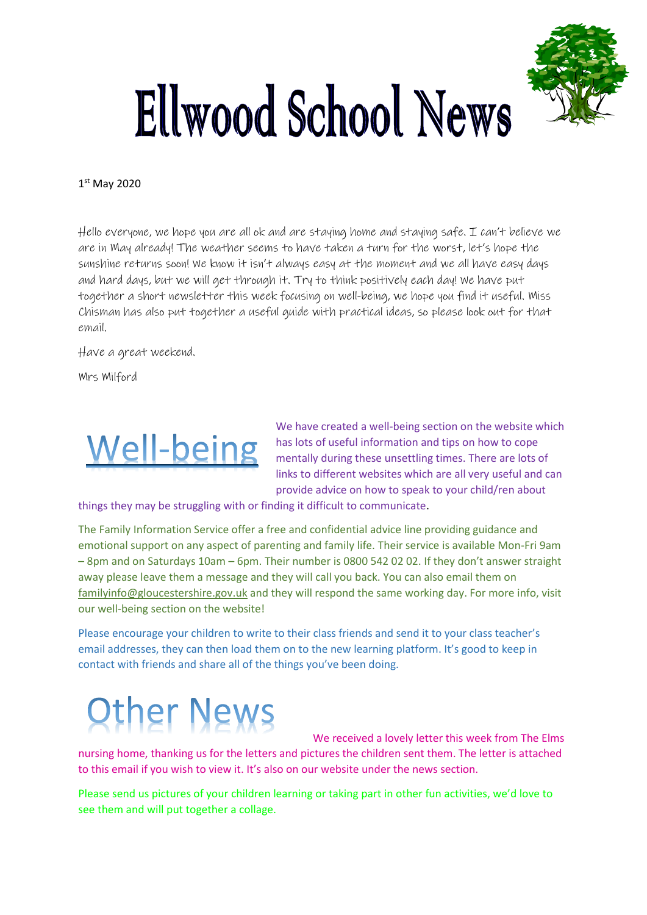

## Ellwood School News

## 1 st May 2020

Hello everyone, we hope you are all ok and are staying home and staying safe. I can't believe we are in May already! The weather seems to have taken a turn for the worst, let's hope the sunshine returns soon! We know it isn't always easy at the moment and we all have easy days and hard days, but we will get through it. Try to think positively each day! We have put together a short newsletter this week focusing on well-being, we hope you find it useful. Miss Chisman has also put together a useful guide with practical ideas, so please look out for that email.

Have a great weekend.

Mrs Milford



We have created a well-being section on the website which has lots of useful information and tips on how to cope mentally during these unsettling times. There are lots of links to different websites which are all very useful and can provide advice on how to speak to your child/ren about

things they may be struggling with or finding it difficult to communicate.

The Family Information Service offer a free and confidential advice line providing guidance and emotional support on any aspect of parenting and family life. Their service is available Mon-Fri 9am – 8pm and on Saturdays 10am – 6pm. Their number is 0800 542 02 02. If they don't answer straight away please leave them a message and they will call you back. You can also email them on [familyinfo@gloucestershire.gov.uk](about:blank) and they will respond the same working day. For more info, visit our well-being section on the website!

Please encourage your children to write to their class friends and send it to your class teacher's email addresses, they can then load them on to the new learning platform. It's good to keep in contact with friends and share all of the things you've been doing.

## **Other News**

We received a lovely letter this week from The Elms

nursing home, thanking us for the letters and pictures the children sent them. The letter is attached to this email if you wish to view it. It's also on our website under the news section.

Please send us pictures of your children learning or taking part in other fun activities, we'd love to see them and will put together a collage.